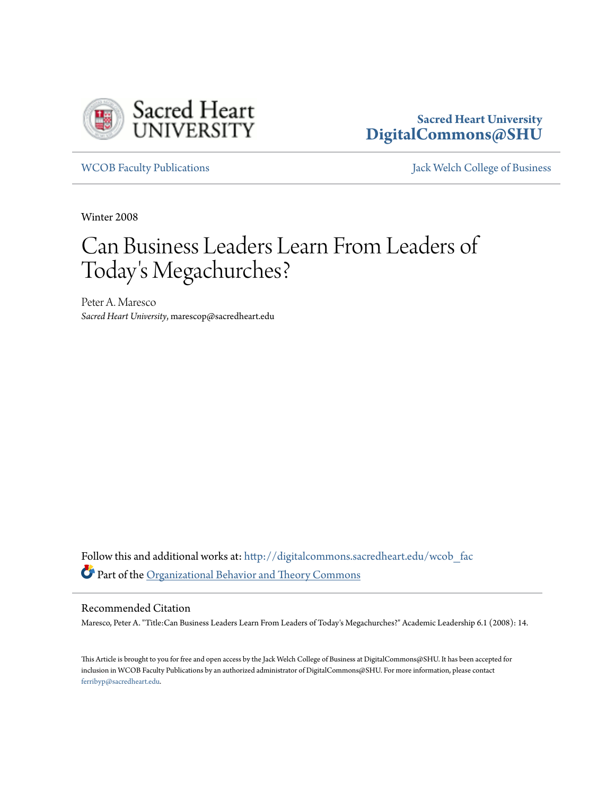

## **Sacred Heart University [DigitalCommons@SHU](http://digitalcommons.sacredheart.edu?utm_source=digitalcommons.sacredheart.edu%2Fwcob_fac%2F232&utm_medium=PDF&utm_campaign=PDFCoverPages)**

[WCOB Faculty Publications](http://digitalcommons.sacredheart.edu/wcob_fac?utm_source=digitalcommons.sacredheart.edu%2Fwcob_fac%2F232&utm_medium=PDF&utm_campaign=PDFCoverPages) **MECOB** Faculty Publications **Accord Publications** [Jack Welch College of Business](http://digitalcommons.sacredheart.edu/wcob?utm_source=digitalcommons.sacredheart.edu%2Fwcob_fac%2F232&utm_medium=PDF&utm_campaign=PDFCoverPages)

Winter 2008

## Can Business Leaders Learn From Leaders of Today 's Megachurches?

Peter A. Maresco *Sacred Heart University*, marescop@sacredheart.edu

Follow this and additional works at: [http://digitalcommons.sacredheart.edu/wcob\\_fac](http://digitalcommons.sacredheart.edu/wcob_fac?utm_source=digitalcommons.sacredheart.edu%2Fwcob_fac%2F232&utm_medium=PDF&utm_campaign=PDFCoverPages) Part of the [Organizational Behavior and Theory Commons](http://network.bepress.com/hgg/discipline/639?utm_source=digitalcommons.sacredheart.edu%2Fwcob_fac%2F232&utm_medium=PDF&utm_campaign=PDFCoverPages)

## Recommended Citation

Maresco, Peter A. "Title:Can Business Leaders Learn From Leaders of Today's Megachurches?" Academic Leadership 6.1 (2008): 14.

This Article is brought to you for free and open access by the Jack Welch College of Business at DigitalCommons@SHU. It has been accepted for inclusion in WCOB Faculty Publications by an authorized administrator of DigitalCommons@SHU. For more information, please contact [ferribyp@sacredheart.edu](mailto:ferribyp@sacredheart.edu).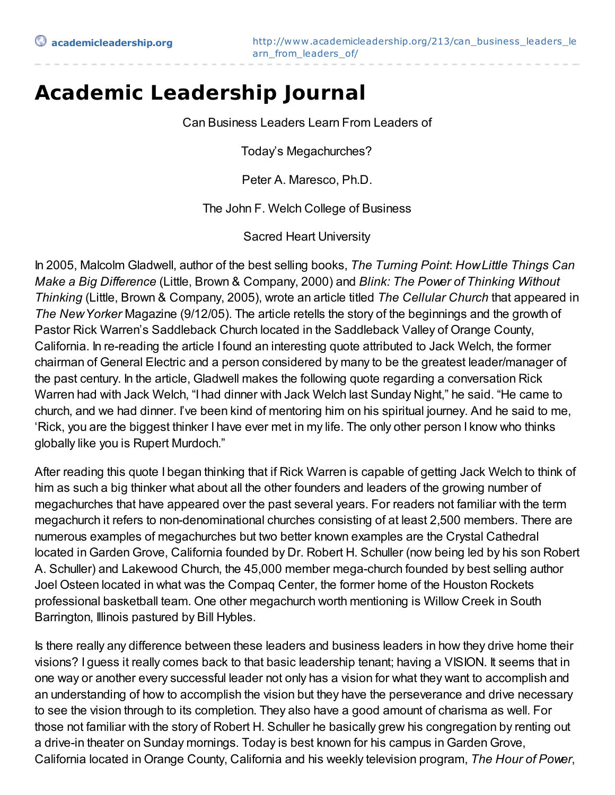## **Academic Leadership Journal**

Can Business Leaders Learn From Leaders of

Today's Megachurches?

Peter A. Maresco, Ph.D.

The John F. Welch College of Business

Sacred Heart University

In 2005, Malcolm Gladwell, author of the best selling books, *The Turning Point*: *HowLittle Things Can Make a Big Difference* (Little, Brown & Company, 2000) and *Blink: The Power of Thinking Without Thinking* (Little, Brown & Company, 2005), wrote an article titled *The Cellular Church* that appeared in *The NewYorker* Magazine (9/12/05). The article retells the story of the beginnings and the growth of Pastor Rick Warren's Saddleback Church located in the Saddleback Valley of Orange County, California. In re-reading the article I found an interesting quote attributed to Jack Welch, the former chairman of General Electric and a person considered by many to be the greatest leader/manager of the past century. In the article, Gladwell makes the following quote regarding a conversation Rick Warren had with Jack Welch, "I had dinner with Jack Welch last Sunday Night," he said. "He came to church, and we had dinner. I've been kind of mentoring him on his spiritual journey. And he said to me, 'Rick, you are the biggest thinker I have ever met in my life. The only other person I know who thinks globally like you is Rupert Murdoch."

After reading this quote I began thinking that if Rick Warren is capable of getting Jack Welch to think of him as such a big thinker what about all the other founders and leaders of the growing number of megachurches that have appeared over the past several years. For readers not familiar with the term megachurch it refers to non-denominational churches consisting of at least 2,500 members. There are numerous examples of megachurches but two better known examples are the Crystal Cathedral located in Garden Grove, California founded by Dr. Robert H. Schuller (now being led by his son Robert A. Schuller) and Lakewood Church, the 45,000 member mega-church founded by best selling author Joel Osteen located in what was the Compaq Center, the former home of the Houston Rockets professional basketball team. One other megachurch worth mentioning is Willow Creek in South Barrington, Illinois pastured by Bill Hybles.

Is there really any difference between these leaders and business leaders in how they drive home their visions? I guess it really comes back to that basic leadership tenant; having a VISION. It seems that in one way or another every successful leader not only has a vision for what they want to accomplish and an understanding of how to accomplish the vision but they have the perseverance and drive necessary to see the vision through to its completion. They also have a good amount of charisma as well. For those not familiar with the story of Robert H. Schuller he basically grew his congregation by renting out a drive-in theater on Sunday mornings. Today is best known for his campus in Garden Grove, California located in Orange County, California and his weekly television program, *The Hour of Power*,